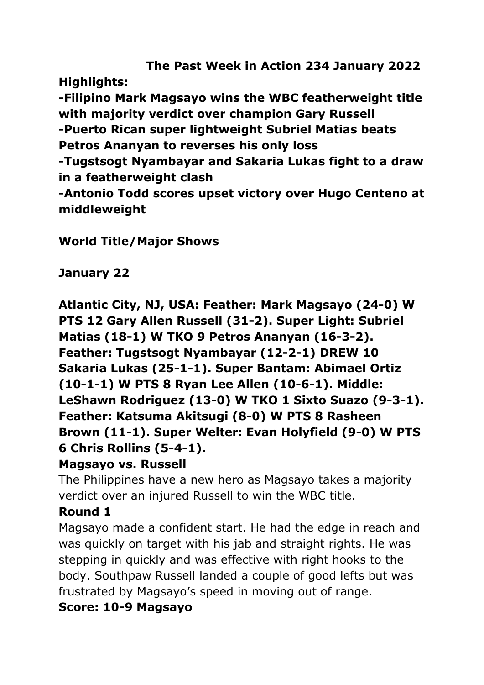**The Past Week in Action 234 January 2022 Highlights: -Filipino Mark Magsayo wins the WBC featherweight title with majority verdict over champion Gary Russell -Puerto Rican super lightweight Subriel Matias beats Petros Ananyan to reverses his only loss -Tugstsogt Nyambayar and Sakaria Lukas fight to a draw in a featherweight clash -Antonio Todd scores upset victory over Hugo Centeno at middleweight**

**World Title/Major Shows**

**January 22** 

**Atlantic City, NJ, USA: Feather: Mark Magsayo (24-0) W PTS 12 Gary Allen Russell (31-2). Super Light: Subriel Matias (18-1) W TKO 9 Petros Ananyan (16-3-2). Feather: Tugstsogt Nyambayar (12-2-1) DREW 10 Sakaria Lukas (25-1-1). Super Bantam: Abimael Ortiz (10-1-1) W PTS 8 Ryan Lee Allen (10-6-1). Middle: LeShawn Rodriguez (13-0) W TKO 1 Sixto Suazo (9-3-1). Feather: Katsuma Akitsugi (8-0) W PTS 8 Rasheen Brown (11-1). Super Welter: Evan Holyfield (9-0) W PTS 6 Chris Rollins (5-4-1).**

# **Magsayo vs. Russell**

The Philippines have a new hero as Magsayo takes a majority verdict over an injured Russell to win the WBC title.

# **Round 1**

Magsayo made a confident start. He had the edge in reach and was quickly on target with his jab and straight rights. He was stepping in quickly and was effective with right hooks to the body. Southpaw Russell landed a couple of good lefts but was frustrated by Magsayo's speed in moving out of range.

# **Score: 10-9 Magsayo**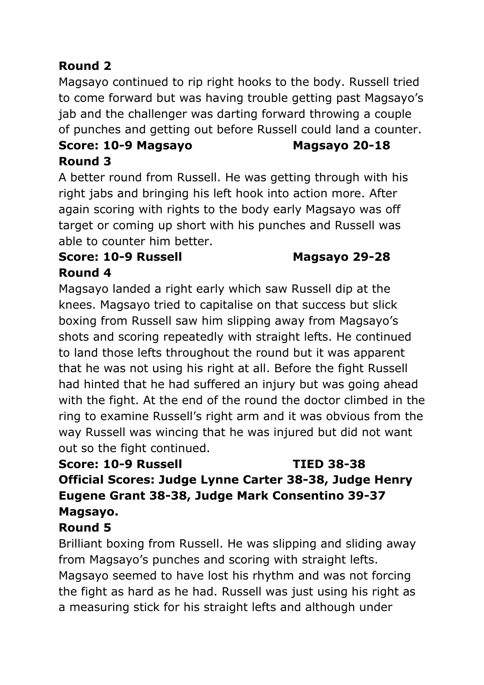# **Round 2**

Magsayo continued to rip right hooks to the body. Russell tried to come forward but was having trouble getting past Magsayo's jab and the challenger was darting forward throwing a couple of punches and getting out before Russell could land a counter.

# **Score: 10-9 Magsayo Magsayo 20-18 Round 3**

A better round from Russell. He was getting through with his right jabs and bringing his left hook into action more. After again scoring with rights to the body early Magsayo was off target or coming up short with his punches and Russell was able to counter him better.

## **Score: 10-9 Russell Magsayo 29-28 Round 4**

Magsayo landed a right early which saw Russell dip at the knees. Magsayo tried to capitalise on that success but slick boxing from Russell saw him slipping away from Magsayo's shots and scoring repeatedly with straight lefts. He continued to land those lefts throughout the round but it was apparent that he was not using his right at all. Before the fight Russell had hinted that he had suffered an injury but was going ahead with the fight. At the end of the round the doctor climbed in the ring to examine Russell's right arm and it was obvious from the way Russell was wincing that he was injured but did not want out so the fight continued.

# **Score: 10-9 Russell TIED 38-38 Official Scores: Judge Lynne Carter 38-38, Judge Henry Eugene Grant 38-38, Judge Mark Consentino 39-37 Magsayo.**

# **Round 5**

Brilliant boxing from Russell. He was slipping and sliding away from Magsayo's punches and scoring with straight lefts. Magsayo seemed to have lost his rhythm and was not forcing the fight as hard as he had. Russell was just using his right as a measuring stick for his straight lefts and although under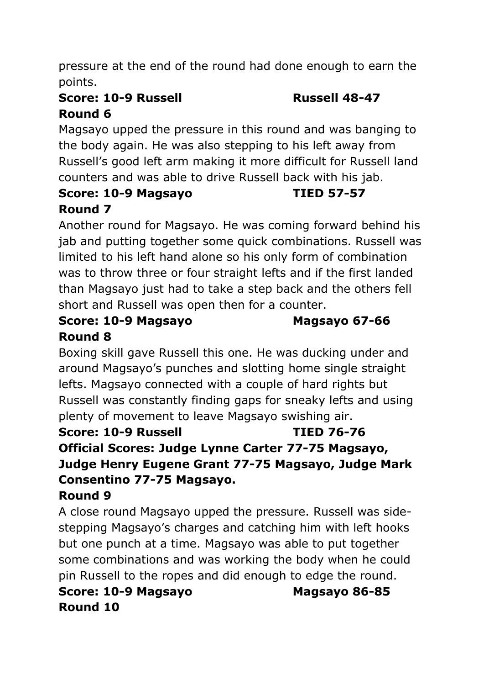pressure at the end of the round had done enough to earn the points.

# **Score: 10-9 Russell Russell 48-47 Round 6**

Magsayo upped the pressure in this round and was banging to the body again. He was also stepping to his left away from Russell's good left arm making it more difficult for Russell land counters and was able to drive Russell back with his jab.

#### **Score: 10-9 Magsayo TIED 57-57 Round 7**

Another round for Magsayo. He was coming forward behind his jab and putting together some quick combinations. Russell was limited to his left hand alone so his only form of combination was to throw three or four straight lefts and if the first landed than Magsayo just had to take a step back and the others fell short and Russell was open then for a counter.

### **Score: 10-9 Magsayo Magsayo 67-66 Round 8**

Boxing skill gave Russell this one. He was ducking under and around Magsayo's punches and slotting home single straight lefts. Magsayo connected with a couple of hard rights but Russell was constantly finding gaps for sneaky lefts and using plenty of movement to leave Magsayo swishing air.

### **Score: 10-9 Russell TIED 76-76 Official Scores: Judge Lynne Carter 77-75 Magsayo, Judge Henry Eugene Grant 77-75 Magsayo, Judge Mark Consentino 77-75 Magsayo. Round 9**

# A close round Magsayo upped the pressure. Russell was sidestepping Magsayo's charges and catching him with left hooks but one punch at a time. Magsayo was able to put together some combinations and was working the body when he could pin Russell to the ropes and did enough to edge the round.

# **Score: 10-9 Magsayo Magsayo 86-85 Round 10**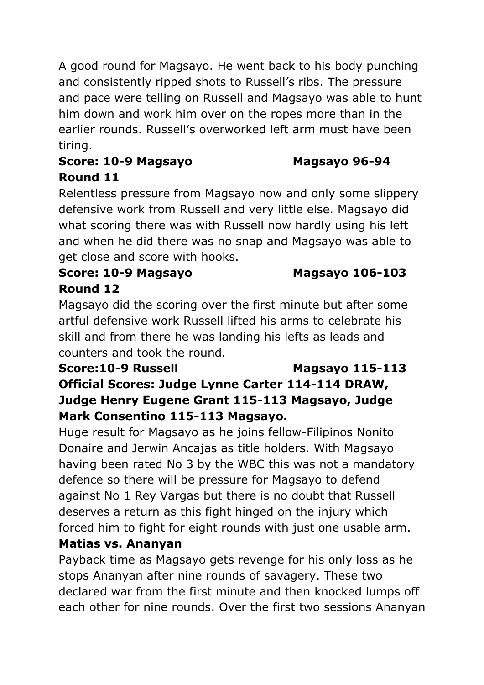A good round for Magsayo. He went back to his body punching and consistently ripped shots to Russell's ribs. The pressure and pace were telling on Russell and Magsayo was able to hunt him down and work him over on the ropes more than in the earlier rounds. Russell's overworked left arm must have been tiring.

### **Score: 10-9 Magsayo Magsayo 96-94 Round 11**

Relentless pressure from Magsayo now and only some slippery defensive work from Russell and very little else. Magsayo did what scoring there was with Russell now hardly using his left and when he did there was no snap and Magsayo was able to get close and score with hooks.

#### **Score: 10-9 Magsayo Magsayo 106-103 Round 12**

Magsayo did the scoring over the first minute but after some artful defensive work Russell lifted his arms to celebrate his skill and from there he was landing his lefts as leads and counters and took the round.

# **Score:10-9 Russell Magsayo 115-113 Official Scores: Judge Lynne Carter 114-114 DRAW, Judge Henry Eugene Grant 115-113 Magsayo, Judge Mark Consentino 115-113 Magsayo.**

Huge result for Magsayo as he joins fellow-Filipinos Nonito Donaire and Jerwin Ancajas as title holders. With Magsayo having been rated No 3 by the WBC this was not a mandatory defence so there will be pressure for Magsayo to defend against No 1 Rey Vargas but there is no doubt that Russell deserves a return as this fight hinged on the injury which forced him to fight for eight rounds with just one usable arm. **Matias vs. Ananyan**

# Payback time as Magsayo gets revenge for his only loss as he stops Ananyan after nine rounds of savagery. These two declared war from the first minute and then knocked lumps off each other for nine rounds. Over the first two sessions Ananyan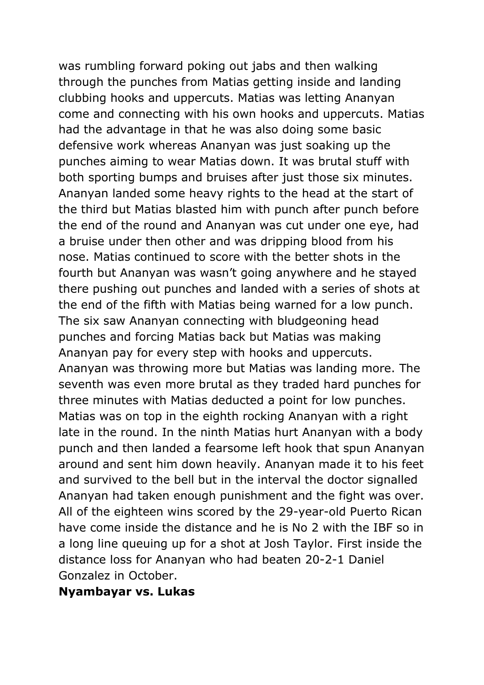was rumbling forward poking out jabs and then walking through the punches from Matias getting inside and landing clubbing hooks and uppercuts. Matias was letting Ananyan come and connecting with his own hooks and uppercuts. Matias had the advantage in that he was also doing some basic defensive work whereas Ananyan was just soaking up the punches aiming to wear Matias down. It was brutal stuff with both sporting bumps and bruises after just those six minutes. Ananyan landed some heavy rights to the head at the start of the third but Matias blasted him with punch after punch before the end of the round and Ananyan was cut under one eye, had a bruise under then other and was dripping blood from his nose. Matias continued to score with the better shots in the fourth but Ananyan was wasn't going anywhere and he stayed there pushing out punches and landed with a series of shots at the end of the fifth with Matias being warned for a low punch. The six saw Ananyan connecting with bludgeoning head punches and forcing Matias back but Matias was making Ananyan pay for every step with hooks and uppercuts. Ananyan was throwing more but Matias was landing more. The seventh was even more brutal as they traded hard punches for three minutes with Matias deducted a point for low punches. Matias was on top in the eighth rocking Ananyan with a right late in the round. In the ninth Matias hurt Ananyan with a body punch and then landed a fearsome left hook that spun Ananyan around and sent him down heavily. Ananyan made it to his feet and survived to the bell but in the interval the doctor signalled Ananyan had taken enough punishment and the fight was over. All of the eighteen wins scored by the 29-year-old Puerto Rican have come inside the distance and he is No 2 with the IBF so in a long line queuing up for a shot at Josh Taylor. First inside the distance loss for Ananyan who had beaten 20-2-1 Daniel Gonzalez in October.

#### **Nyambayar vs. Lukas**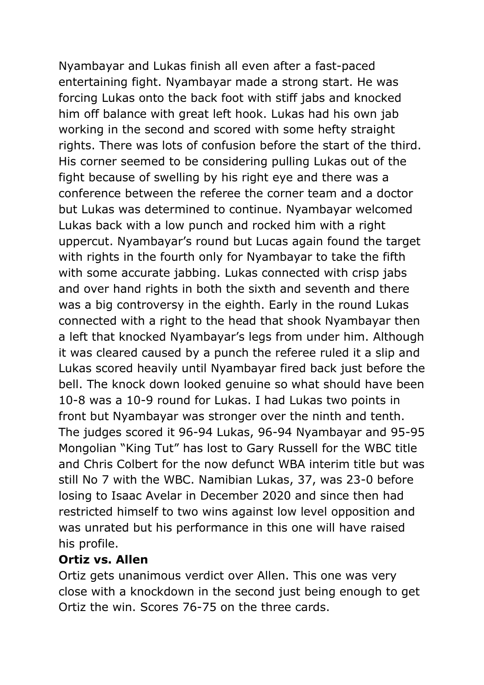Nyambayar and Lukas finish all even after a fast-paced entertaining fight. Nyambayar made a strong start. He was forcing Lukas onto the back foot with stiff jabs and knocked him off balance with great left hook. Lukas had his own jab working in the second and scored with some hefty straight rights. There was lots of confusion before the start of the third. His corner seemed to be considering pulling Lukas out of the fight because of swelling by his right eye and there was a conference between the referee the corner team and a doctor but Lukas was determined to continue. Nyambayar welcomed Lukas back with a low punch and rocked him with a right uppercut. Nyambayar's round but Lucas again found the target with rights in the fourth only for Nyambayar to take the fifth with some accurate jabbing. Lukas connected with crisp jabs and over hand rights in both the sixth and seventh and there was a big controversy in the eighth. Early in the round Lukas connected with a right to the head that shook Nyambayar then a left that knocked Nyambayar's legs from under him. Although it was cleared caused by a punch the referee ruled it a slip and Lukas scored heavily until Nyambayar fired back just before the bell. The knock down looked genuine so what should have been 10-8 was a 10-9 round for Lukas. I had Lukas two points in front but Nyambayar was stronger over the ninth and tenth. The judges scored it 96-94 Lukas, 96-94 Nyambayar and 95-95 Mongolian "King Tut" has lost to Gary Russell for the WBC title and Chris Colbert for the now defunct WBA interim title but was still No 7 with the WBC. Namibian Lukas, 37, was 23-0 before losing to Isaac Avelar in December 2020 and since then had restricted himself to two wins against low level opposition and was unrated but his performance in this one will have raised his profile.

#### **Ortiz vs. Allen**

Ortiz gets unanimous verdict over Allen. This one was very close with a knockdown in the second just being enough to get Ortiz the win. Scores 76-75 on the three cards.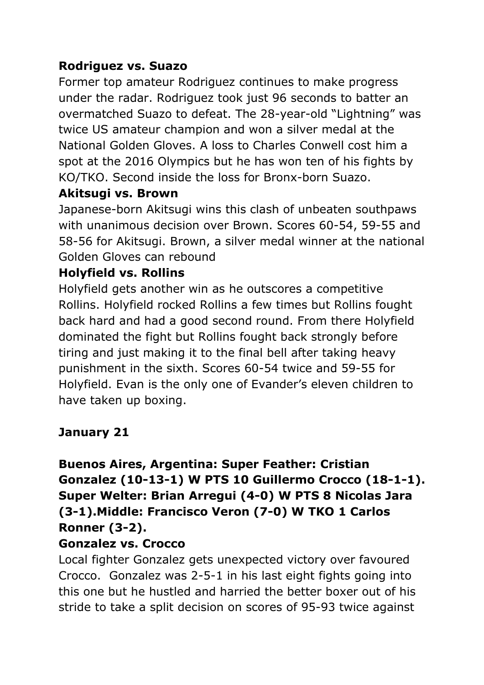## **Rodriguez vs. Suazo**

Former top amateur Rodriguez continues to make progress under the radar. Rodriguez took just 96 seconds to batter an overmatched Suazo to defeat. The 28-year-old "Lightning" was twice US amateur champion and won a silver medal at the National Golden Gloves. A loss to Charles Conwell cost him a spot at the 2016 Olympics but he has won ten of his fights by KO/TKO. Second inside the loss for Bronx-born Suazo.

#### **Akitsugi vs. Brown**

Japanese-born Akitsugi wins this clash of unbeaten southpaws with unanimous decision over Brown. Scores 60-54, 59-55 and 58-56 for Akitsugi. Brown, a silver medal winner at the national Golden Gloves can rebound

#### **Holyfield vs. Rollins**

Holyfield gets another win as he outscores a competitive Rollins. Holyfield rocked Rollins a few times but Rollins fought back hard and had a good second round. From there Holyfield dominated the fight but Rollins fought back strongly before tiring and just making it to the final bell after taking heavy punishment in the sixth. Scores 60-54 twice and 59-55 for Holyfield. Evan is the only one of Evander's eleven children to have taken up boxing.

# **January 21**

# **Buenos Aires, Argentina: Super Feather: Cristian Gonzalez (10-13-1) W PTS 10 Guillermo Crocco (18-1-1). Super Welter: Brian Arregui (4-0) W PTS 8 Nicolas Jara (3-1).Middle: Francisco Veron (7-0) W TKO 1 Carlos Ronner (3-2).**

#### **Gonzalez vs. Crocco**

Local fighter Gonzalez gets unexpected victory over favoured Crocco. Gonzalez was 2-5-1 in his last eight fights going into this one but he hustled and harried the better boxer out of his stride to take a split decision on scores of 95-93 twice against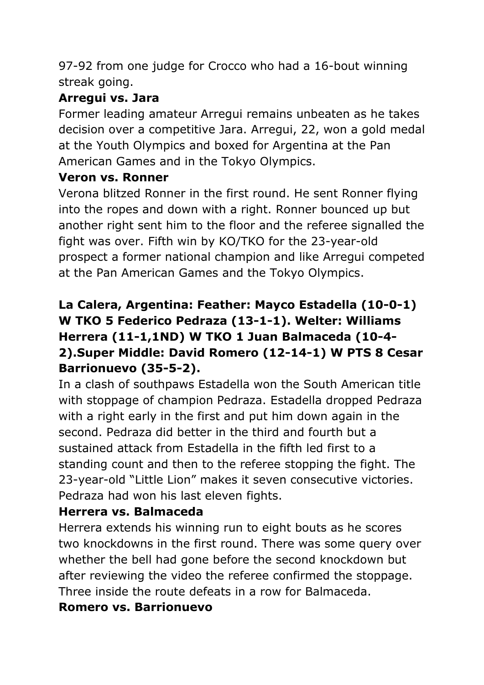97-92 from one judge for Crocco who had a 16-bout winning streak going.

## **Arregui vs. Jara**

Former leading amateur Arregui remains unbeaten as he takes decision over a competitive Jara. Arregui, 22, won a gold medal at the Youth Olympics and boxed for Argentina at the Pan American Games and in the Tokyo Olympics.

### **Veron vs. Ronner**

Verona blitzed Ronner in the first round. He sent Ronner flying into the ropes and down with a right. Ronner bounced up but another right sent him to the floor and the referee signalled the fight was over. Fifth win by KO/TKO for the 23-year-old prospect a former national champion and like Arregui competed at the Pan American Games and the Tokyo Olympics.

# **La Calera, Argentina: Feather: Mayco Estadella (10-0-1) W TKO 5 Federico Pedraza (13-1-1). Welter: Williams Herrera (11-1,1ND) W TKO 1 Juan Balmaceda (10-4- 2).Super Middle: David Romero (12-14-1) W PTS 8 Cesar Barrionuevo (35-5-2).**

In a clash of southpaws Estadella won the South American title with stoppage of champion Pedraza. Estadella dropped Pedraza with a right early in the first and put him down again in the second. Pedraza did better in the third and fourth but a sustained attack from Estadella in the fifth led first to a standing count and then to the referee stopping the fight. The 23-year-old "Little Lion" makes it seven consecutive victories. Pedraza had won his last eleven fights.

# **Herrera vs. Balmaceda**

Herrera extends his winning run to eight bouts as he scores two knockdowns in the first round. There was some query over whether the bell had gone before the second knockdown but after reviewing the video the referee confirmed the stoppage. Three inside the route defeats in a row for Balmaceda.

#### **Romero vs. Barrionuevo**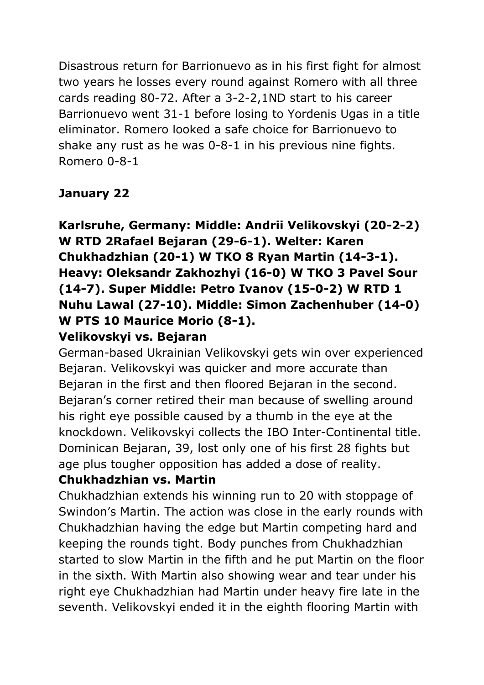Disastrous return for Barrionuevo as in his first fight for almost two years he losses every round against Romero with all three cards reading 80-72. After a 3-2-2,1ND start to his career Barrionuevo went 31-1 before losing to Yordenis Ugas in a title eliminator. Romero looked a safe choice for Barrionuevo to shake any rust as he was 0-8-1 in his previous nine fights. Romero 0-8-1

# **January 22**

**Karlsruhe, Germany: Middle: Andrii Velikovskyi (20-2-2) W RTD 2Rafael Bejaran (29-6-1). Welter: Karen Chukhadzhian (20-1) W TKO 8 Ryan Martin (14-3-1). Heavy: Oleksandr Zakhozhyi (16-0) W TKO 3 Pavel Sour (14-7). Super Middle: Petro Ivanov (15-0-2) W RTD 1 Nuhu Lawal (27-10). Middle: Simon Zachenhuber (14-0) W PTS 10 Maurice Morio (8-1).** 

### **Velikovskyi vs. Bejaran**

German-based Ukrainian Velikovskyi gets win over experienced Bejaran. Velikovskyi was quicker and more accurate than Bejaran in the first and then floored Bejaran in the second. Bejaran's corner retired their man because of swelling around his right eye possible caused by a thumb in the eye at the knockdown. Velikovskyi collects the IBO Inter-Continental title. Dominican Bejaran, 39, lost only one of his first 28 fights but age plus tougher opposition has added a dose of reality.

#### **Chukhadzhian vs. Martin**

Chukhadzhian extends his winning run to 20 with stoppage of Swindon's Martin. The action was close in the early rounds with Chukhadzhian having the edge but Martin competing hard and keeping the rounds tight. Body punches from Chukhadzhian started to slow Martin in the fifth and he put Martin on the floor in the sixth. With Martin also showing wear and tear under his right eye Chukhadzhian had Martin under heavy fire late in the seventh. Velikovskyi ended it in the eighth flooring Martin with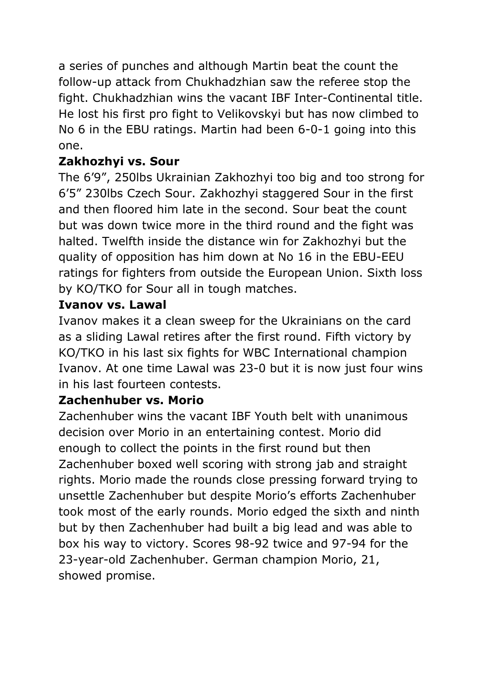a series of punches and although Martin beat the count the follow-up attack from Chukhadzhian saw the referee stop the fight. Chukhadzhian wins the vacant IBF Inter-Continental title. He lost his first pro fight to Velikovskyi but has now climbed to No 6 in the EBU ratings. Martin had been 6-0-1 going into this one.

# **Zakhozhyi vs. Sour**

The 6'9", 250lbs Ukrainian Zakhozhyi too big and too strong for 6'5" 230lbs Czech Sour. Zakhozhyi staggered Sour in the first and then floored him late in the second. Sour beat the count but was down twice more in the third round and the fight was halted. Twelfth inside the distance win for Zakhozhyi but the quality of opposition has him down at No 16 in the EBU-EEU ratings for fighters from outside the European Union. Sixth loss by KO/TKO for Sour all in tough matches.

### **Ivanov vs. Lawal**

Ivanov makes it a clean sweep for the Ukrainians on the card as a sliding Lawal retires after the first round. Fifth victory by KO/TKO in his last six fights for WBC International champion Ivanov. At one time Lawal was 23-0 but it is now just four wins in his last fourteen contests.

# **Zachenhuber vs. Morio**

Zachenhuber wins the vacant IBF Youth belt with unanimous decision over Morio in an entertaining contest. Morio did enough to collect the points in the first round but then Zachenhuber boxed well scoring with strong jab and straight rights. Morio made the rounds close pressing forward trying to unsettle Zachenhuber but despite Morio's efforts Zachenhuber took most of the early rounds. Morio edged the sixth and ninth but by then Zachenhuber had built a big lead and was able to box his way to victory. Scores 98-92 twice and 97-94 for the 23-year-old Zachenhuber. German champion Morio, 21, showed promise.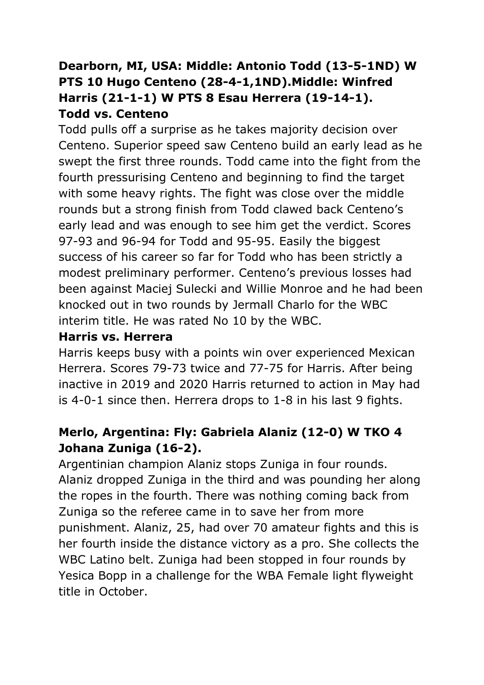# **Dearborn, MI, USA: Middle: Antonio Todd (13-5-1ND) W PTS 10 Hugo Centeno (28-4-1,1ND).Middle: Winfred Harris (21-1-1) W PTS 8 Esau Herrera (19-14-1). Todd vs. Centeno**

Todd pulls off a surprise as he takes majority decision over Centeno. Superior speed saw Centeno build an early lead as he swept the first three rounds. Todd came into the fight from the fourth pressurising Centeno and beginning to find the target with some heavy rights. The fight was close over the middle rounds but a strong finish from Todd clawed back Centeno's early lead and was enough to see him get the verdict. Scores 97-93 and 96-94 for Todd and 95-95. Easily the biggest success of his career so far for Todd who has been strictly a modest preliminary performer. Centeno's previous losses had been against Maciej Sulecki and Willie Monroe and he had been knocked out in two rounds by Jermall Charlo for the WBC interim title. He was rated No 10 by the WBC.

### **Harris vs. Herrera**

Harris keeps busy with a points win over experienced Mexican Herrera. Scores 79-73 twice and 77-75 for Harris. After being inactive in 2019 and 2020 Harris returned to action in May had is 4-0-1 since then. Herrera drops to 1-8 in his last 9 fights.

# **Merlo, Argentina: Fly: Gabriela Alaniz (12-0) W TKO 4 Johana Zuniga (16-2).**

Argentinian champion Alaniz stops Zuniga in four rounds. Alaniz dropped Zuniga in the third and was pounding her along the ropes in the fourth. There was nothing coming back from Zuniga so the referee came in to save her from more punishment. Alaniz, 25, had over 70 amateur fights and this is her fourth inside the distance victory as a pro. She collects the WBC Latino belt. Zuniga had been stopped in four rounds by Yesica Bopp in a challenge for the WBA Female light flyweight title in October.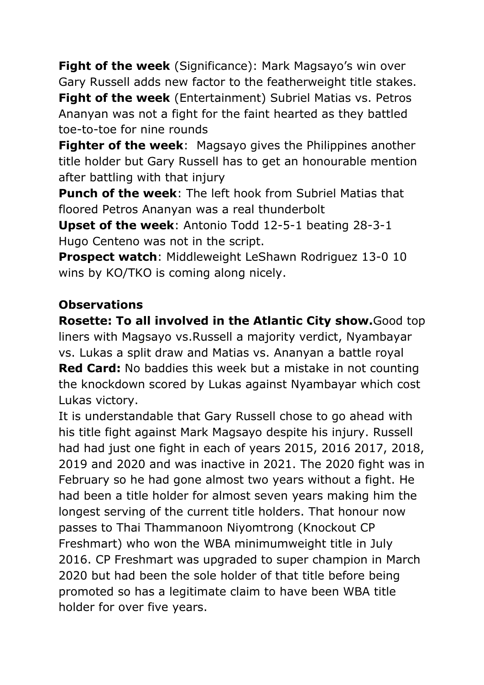**Fight of the week** (Significance): Mark Magsayo's win over Gary Russell adds new factor to the featherweight title stakes. **Fight of the week** (Entertainment) Subriel Matias vs. Petros Ananyan was not a fight for the faint hearted as they battled toe-to-toe for nine rounds

**Fighter of the week**: Magsayo gives the Philippines another title holder but Gary Russell has to get an honourable mention after battling with that injury

**Punch of the week**: The left hook from Subriel Matias that floored Petros Ananyan was a real thunderbolt

**Upset of the week**: Antonio Todd 12-5-1 beating 28-3-1 Hugo Centeno was not in the script.

**Prospect watch**: Middleweight LeShawn Rodriguez 13-0 10 wins by KO/TKO is coming along nicely.

#### **Observations**

**Rosette: To all involved in the Atlantic City show.**Good top liners with Magsayo vs.Russell a majority verdict, Nyambayar vs. Lukas a split draw and Matias vs. Ananyan a battle royal **Red Card:** No baddies this week but a mistake in not counting the knockdown scored by Lukas against Nyambayar which cost Lukas victory.

It is understandable that Gary Russell chose to go ahead with his title fight against Mark Magsayo despite his injury. Russell had had just one fight in each of years 2015, 2016 2017, 2018, 2019 and 2020 and was inactive in 2021. The 2020 fight was in February so he had gone almost two years without a fight. He had been a title holder for almost seven years making him the longest serving of the current title holders. That honour now passes to Thai Thammanoon Niyomtrong (Knockout CP Freshmart) who won the WBA minimumweight title in July 2016. CP Freshmart was upgraded to super champion in March 2020 but had been the sole holder of that title before being promoted so has a legitimate claim to have been WBA title holder for over five years.